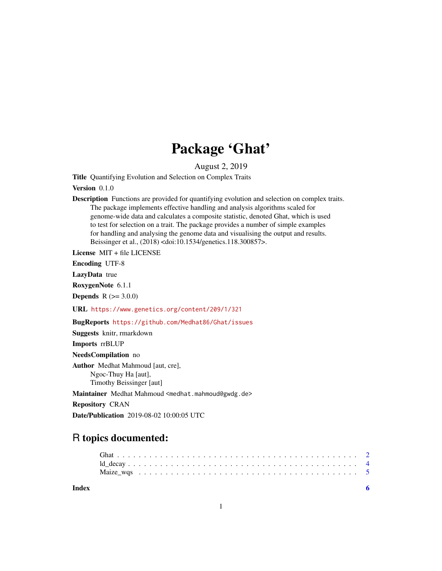## Package 'Ghat'

August 2, 2019

Title Quantifying Evolution and Selection on Complex Traits

Version 0.1.0

Description Functions are provided for quantifying evolution and selection on complex traits. The package implements effective handling and analysis algorithms scaled for genome-wide data and calculates a composite statistic, denoted Ghat, which is used to test for selection on a trait. The package provides a number of simple examples for handling and analysing the genome data and visualising the output and results. Beissinger et al., (2018) <doi:10.1534/genetics.118.300857>.

License MIT + file LICENSE

Encoding UTF-8

LazyData true

RoxygenNote 6.1.1

**Depends**  $R (= 3.0.0)$ 

URL <https://www.genetics.org/content/209/1/321>

BugReports <https://github.com/Medhat86/Ghat/issues>

Suggests knitr, rmarkdown

Imports rrBLUP

NeedsCompilation no

Author Medhat Mahmoud [aut, cre], Ngoc-Thuy Ha [aut], Timothy Beissinger [aut]

Maintainer Medhat Mahmoud <medhat.mahmoud@gwdg.de>

Repository CRAN

Date/Publication 2019-08-02 10:00:05 UTC

### R topics documented:

#### **Index** [6](#page-5-0) **6**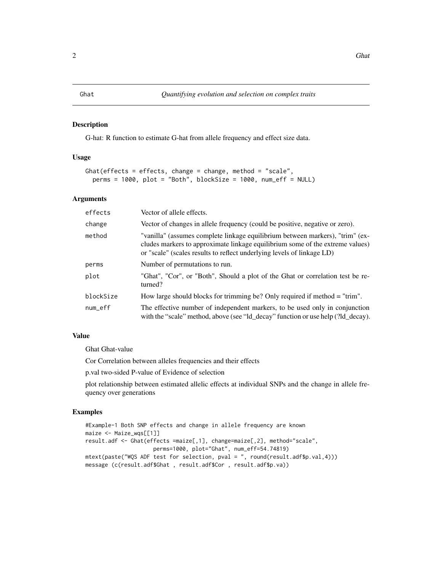#### <span id="page-1-0"></span>Description

G-hat: R function to estimate G-hat from allele frequency and effect size data.

#### Usage

```
Ghat(effects = effects, change = change, method = "scale",
 perms = 1000, plot = "Both", blockSize = 1000, num\_eff = NULL)
```
#### Arguments

| effects   | Vector of allele effects.                                                                                                                                                                                                                |
|-----------|------------------------------------------------------------------------------------------------------------------------------------------------------------------------------------------------------------------------------------------|
| change    | Vector of changes in allele frequency (could be positive, negative or zero).                                                                                                                                                             |
| method    | "vanilla" (assumes complete linkage equilibrium between markers), "trim" (ex-<br>cludes markers to approximate linkage equilibrium some of the extreme values)<br>or "scale" (scales results to reflect underlying levels of linkage LD) |
| perms     | Number of permutations to run.                                                                                                                                                                                                           |
| plot      | "Ghat", "Cor", or "Both", Should a plot of the Ghat or correlation test be re-<br>turned?                                                                                                                                                |
| blockSize | How large should blocks for trimming be? Only required if method $=$ "trim".                                                                                                                                                             |
| num_eff   | The effective number of independent markers, to be used only in conjunction<br>with the "scale" method, above (see "ld_decay" function or use help (?ld_decay).                                                                          |

#### Value

Ghat Ghat-value

Cor Correlation between alleles frequencies and their effects

p.val two-sided P-value of Evidence of selection

plot relationship between estimated allelic effects at individual SNPs and the change in allele frequency over generations

#### Examples

```
#Example-1 Both SNP effects and change in allele frequency are known
maize <- Maize_wqs[[1]]
result.adf <- Ghat(effects =maize[,1], change=maize[,2], method="scale",
                    perms=1000, plot="Ghat", num_eff=54.74819)
mtext(paste("WQS ADF test for selection, pval = ", round(result.adf$p.val,4)))
message (c(result.adf$Ghat , result.adf$Cor , result.adf$p.va))
```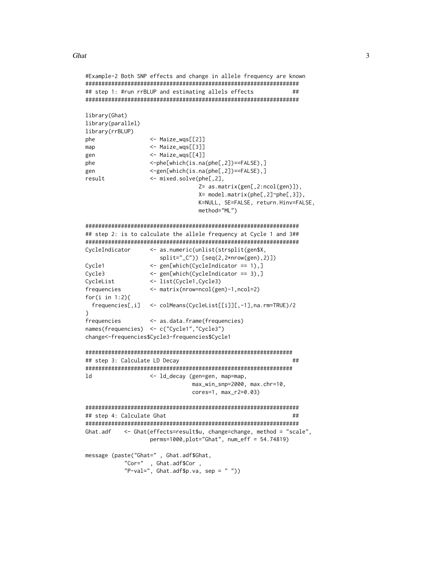Ghat

```
#Example-2 Both SNP effects and change in allele frequency are known
## step 1: #run rrBLUP and estimating allels effects
                                              ##library(Ghat)
library(parallel)
library(rrBLUP)
phe
              <- Maize_wgs[[2]]
              <- Maize_wqs[[3]]
map<- Maize_wqs[[4]]
gen
              <-phe[which(is.na(phe[,2])==FALSE),]
phe
              <-gen[which(is.na(phe[,2])==FALSE),]
gen
result
              <- mixed.solve(phe[,2],
                         Z= as.matrix(gen[,2:ncol(gen)]),
                         X= model.matrix(phe[,2]~phe[,3]),
                         K=NULL, SE=FALSE, return.Hinv=FALSE,
                         method="ML")
## step 2: is to calculate the allele frequency at Cycle 1 and 3##
CycleIndicator
              <- as.numeric(unlist(strsplit(gen$X,
                split="_C") [seq(2, 2*nrow(gen), 2)]Cycle1
              <- gen[which(CycleIndicator == 1),]
Cycle3
              <- gen[which(CycleIndicator == 3),]
CycleList
              <- list(Cycle1, Cycle3)
frequencies
              \leq matrix(nrow=ncol(gen)-1,ncol=2)
for(i in 1:2}{
 frequencies[,i] <- colMeans(CycleList[[i]][,-1], na.rm=TRUE)/2
ł
frequencies
              <- as.data.frame(frequencies)
names(frequencies) <- c("Cycle1","Cycle3")
change<-frequencies$Cycle3-frequencies$Cycle1
#### step 3: Calculate LD Decay
1<sub>d</sub><- ld_decay (gen=gen, map=map,
                        max_win_snp=2000, max.chr=10,
                        cores=1, max_r2=0.03)## step 4: Calculate Ghat
                                              ##Ghat.adf
        <- Ghat(effects=result$u, change=change, method = "scale",
              perms=1000, plot="Ghat", num_eff = 54.74819)
message (paste("Ghat=", Ghat.adf$Ghat,
        "Cor=", Ghat.adf$Cor,
        "P-val=", Ghat.addfp.va, sep = "")
```
3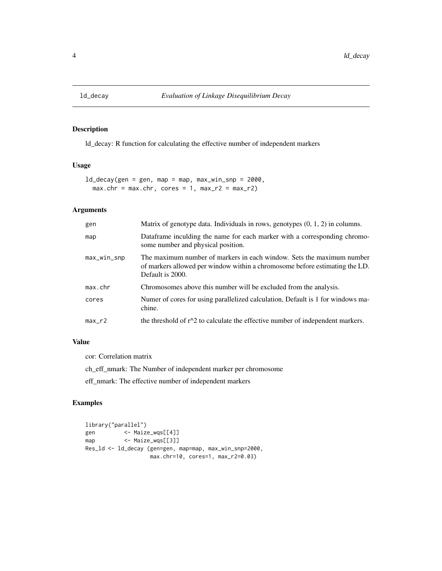<span id="page-3-0"></span>

#### Description

ld\_decay: R function for calculating the effective number of independent markers

#### Usage

 $ld\_decay$ (gen = gen, map = map, max\_win\_snp = 2000,  $max.chr = max.chr$ , cores = 1,  $max_r2 = max_r2$ )

#### Arguments

| gen           | Matrix of genotype data. Individuals in rows, genotypes $(0, 1, 2)$ in columns.                                                                                          |
|---------------|--------------------------------------------------------------------------------------------------------------------------------------------------------------------------|
| map           | Dataframe inculding the name for each marker with a corresponding chromo-<br>some number and physical position.                                                          |
| $max_w in_sp$ | The maximum number of markers in each window. Sets the maximum number<br>of markers allowed per window within a chromosome before estimating the LD.<br>Default is 2000. |
| max.chr       | Chromosomes above this number will be excluded from the analysis.                                                                                                        |
| cores         | Numer of cores for using parallelized calculation, Default is 1 for windows ma-<br>chine.                                                                                |
| $max_r2$      | the threshold of $r^2$ to calculate the effective number of independent markers.                                                                                         |

#### Value

cor: Correlation matrix

ch\_eff\_nmark: The Number of independent marker per chromosome

eff\_nmark: The effective number of independent markers

#### Examples

```
library("parallel")
gen <- Maize_wqs[[4]]
map <- Maize_wqs[[3]]
Res_ld <- ld_decay (gen=gen, map=map, max_win_snp=2000,
                  max.chr=10, cores=1, max_r2=0.03)
```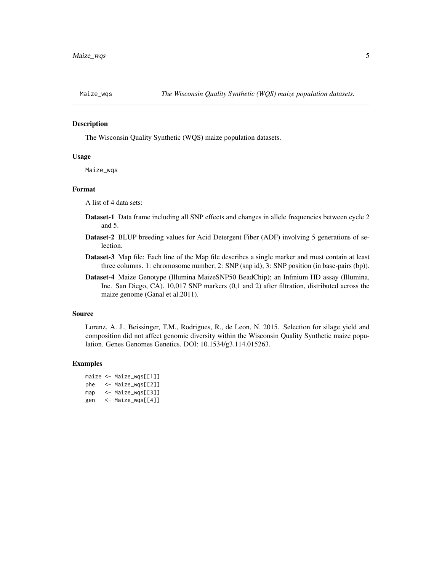<span id="page-4-0"></span>

#### Description

The Wisconsin Quality Synthetic (WQS) maize population datasets.

#### Usage

Maize\_wqs

#### Format

A list of 4 data sets:

- Dataset-1 Data frame including all SNP effects and changes in allele frequencies between cycle 2 and 5.
- Dataset-2 BLUP breeding values for Acid Detergent Fiber (ADF) involving 5 generations of selection.
- Dataset-3 Map file: Each line of the Map file describes a single marker and must contain at least three columns. 1: chromosome number; 2: SNP (snp id); 3: SNP position (in base-pairs (bp)).
- Dataset-4 Maize Genotype (Illumina MaizeSNP50 BeadChip); an Infinium HD assay (Illumina, Inc. San Diego, CA). 10,017 SNP markers (0,1 and 2) after filtration, distributed across the maize genome (Ganal et al.2011).

#### Source

Lorenz, A. J., Beissinger, T.M., Rodrigues, R., de Leon, N. 2015. Selection for silage yield and composition did not affect genomic diversity within the Wisconsin Quality Synthetic maize population. Genes Genomes Genetics. DOI: 10.1534/g3.114.015263.

#### Examples

|     | maize $\leq$ Maize_wqs[[1]] |
|-----|-----------------------------|
| phe | $\leq$ Maize_wgs[[2]]       |
| map | <- Maize_wgs[[3]]           |
| gen | <- Maize_wqs[[4]]           |